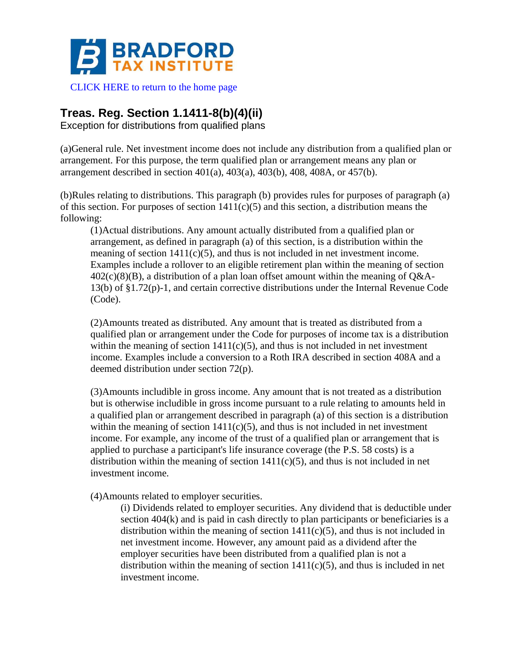

## **Treas. Reg. Section 1.1411-8(b)(4)(ii)**

Exception for distributions from qualified plans

(a)General rule. Net investment income does not include any distribution from a qualified plan or arrangement. For this purpose, the term qualified plan or arrangement means any plan or arrangement described in section 401(a), 403(a), 403(b), 408, 408A, or 457(b).

(b)Rules relating to distributions. This paragraph (b) provides rules for purposes of paragraph (a) of this section. For purposes of section  $1411(c)(5)$  and this section, a distribution means the following:

(1)Actual distributions. Any amount actually distributed from a qualified plan or arrangement, as defined in paragraph (a) of this section, is a distribution within the meaning of section  $1411(c)(5)$ , and thus is not included in net investment income. Examples include a rollover to an eligible retirement plan within the meaning of section  $402(c)(8)(B)$ , a distribution of a plan loan offset amount within the meaning of Q&A-13(b) of §1.72(p)-1, and certain corrective distributions under the Internal Revenue Code (Code).

(2)Amounts treated as distributed. Any amount that is treated as distributed from a qualified plan or arrangement under the Code for purposes of income tax is a distribution within the meaning of section  $1411(c)(5)$ , and thus is not included in net investment income. Examples include a conversion to a Roth IRA described in section 408A and a deemed distribution under section 72(p).

(3)Amounts includible in gross income. Any amount that is not treated as a distribution but is otherwise includible in gross income pursuant to a rule relating to amounts held in a qualified plan or arrangement described in paragraph (a) of this section is a distribution within the meaning of section  $1411(c)(5)$ , and thus is not included in net investment income. For example, any income of the trust of a qualified plan or arrangement that is applied to purchase a participant's life insurance coverage (the P.S. 58 costs) is a distribution within the meaning of section  $1411(c)(5)$ , and thus is not included in net investment income.

(4)Amounts related to employer securities.

(i) Dividends related to employer securities. Any dividend that is deductible under section 404(k) and is paid in cash directly to plan participants or beneficiaries is a distribution within the meaning of section  $1411(c)(5)$ , and thus is not included in net investment income. However, any amount paid as a dividend after the employer securities have been distributed from a qualified plan is not a distribution within the meaning of section  $1411(c)(5)$ , and thus is included in net investment income.